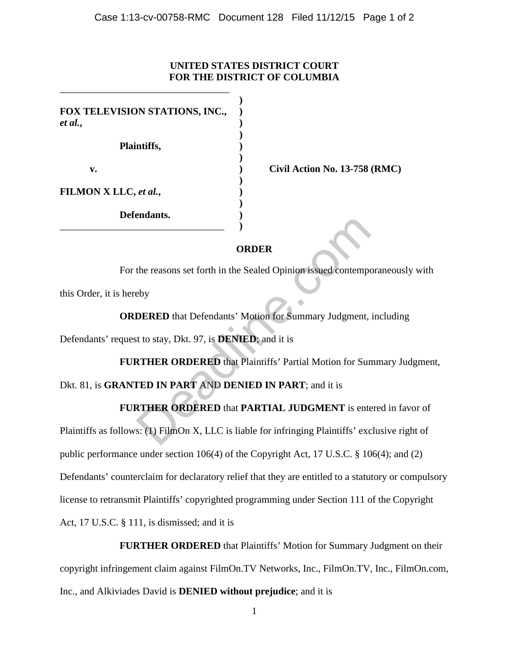## **UNITED STATES DISTRICT COURT FOR THE DISTRICT OF COLUMBIA**

| FOX TELEVISION STATIONS, INC.,<br>et al., |  |
|-------------------------------------------|--|
| Plaintiffs,                               |  |
| v.                                        |  |
| <b>FILMON X LLC, et al.,</b>              |  |
| Defendants.                               |  |
|                                           |  |

\_\_\_\_\_\_\_\_\_\_\_\_\_\_\_\_\_\_\_\_\_\_\_\_\_\_\_\_\_\_\_\_\_\_

**Civil Action No. 13-758 (RMC)** 

## **ORDER**

For the reasons set forth in the Sealed Opinion issued contemporaneously with this Order, it is hereby ORDER<br>
(CRIPT)<br>
DERED that Defendants' Motion for Summary Judgment,<br>
to stay, Dkt. 97, is DENIED; and it is<br>
NORDERED that Plaintiffs' Partial Motion for Sum<br>
TED IN PART AND DENIED IN PART; and it is<br>
THER ORDERED that PA

**ORDERED** that Defendants' Motion for Summary Judgment, including

Defendants' request to stay, Dkt. 97, is **DENIED**; and it is

**FURTHER ORDERED** that Plaintiffs' Partial Motion for Summary Judgment,

Dkt. 81, is **GRANTED IN PART** AND **DENIED IN PART**; and it is

## **FURTHER ORDERED** that **PARTIAL JUDGMENT** is entered in favor of

Plaintiffs as follows: (1) FilmOn X, LLC is liable for infringing Plaintiffs' exclusive right of public performance under section 106(4) of the Copyright Act, 17 U.S.C. § 106(4); and (2) Defendants' counterclaim for declaratory relief that they are entitled to a statutory or compulsory license to retransmit Plaintiffs' copyrighted programming under Section 111 of the Copyright Act, 17 U.S.C. § 111, is dismissed; and it is

**FURTHER ORDERED** that Plaintiffs' Motion for Summary Judgment on their copyright infringement claim against FilmOn.TV Networks, Inc., FilmOn.TV, Inc., FilmOn.com, Inc., and Alkiviades David is **DENIED without prejudice**; and it is